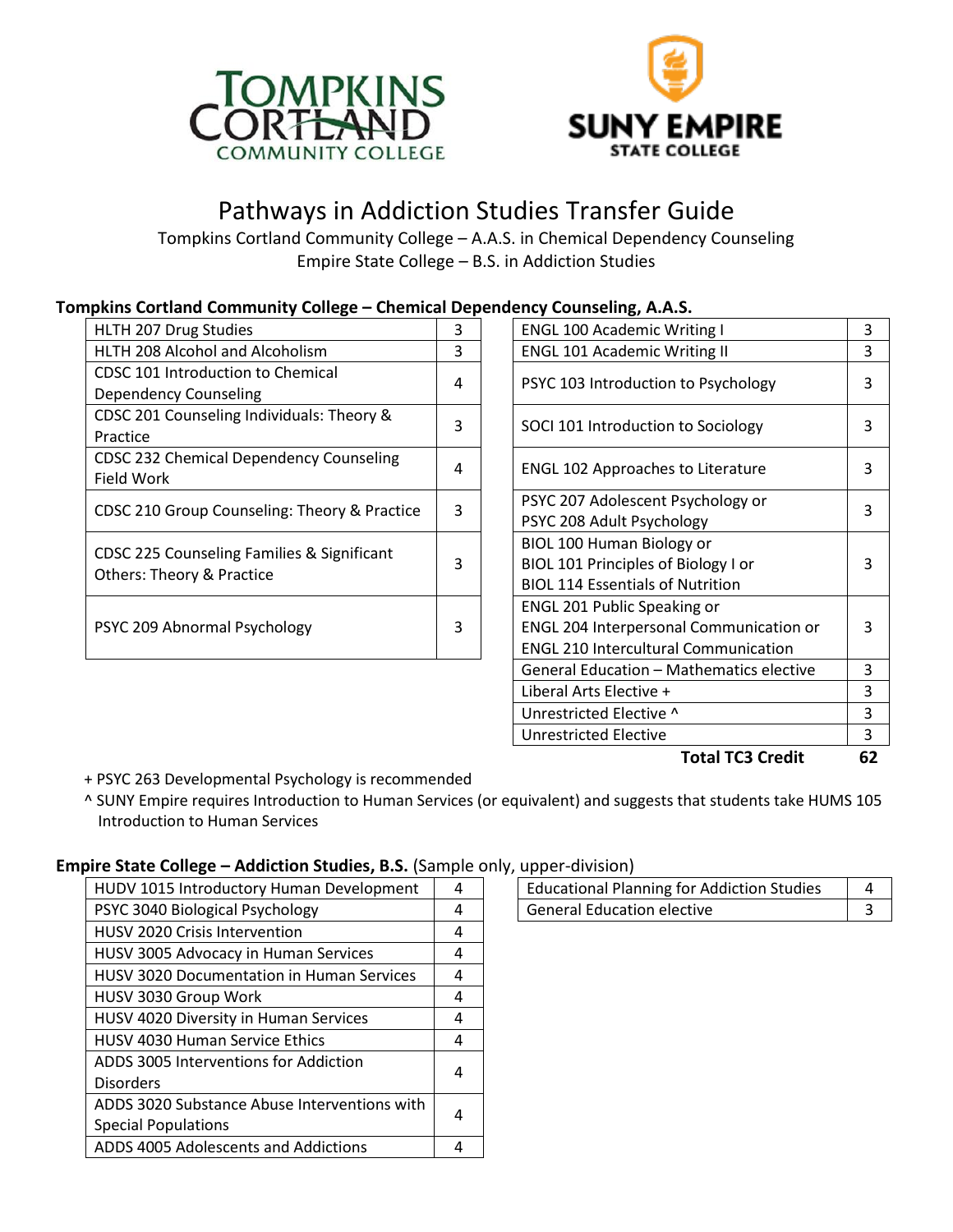



# Pathways in Addiction Studies Transfer Guide

Tompkins Cortland Community College – A.A.S. in Chemical Dependency Counseling Empire State College – B.S. in Addiction Studies

## **Tompkins Cortland Community College – Chemical Dependency Counseling, A.A.S.**

| HLTH 207 Drug Studies                                                              | 3 | <b>ENGL 100 Academic Writing I</b>          | 3 |
|------------------------------------------------------------------------------------|---|---------------------------------------------|---|
| HLTH 208 Alcohol and Alcoholism                                                    | 3 | <b>ENGL 101 Academic Writing II</b>         | 3 |
| CDSC 101 Introduction to Chemical                                                  | 4 |                                             | 3 |
| <b>Dependency Counseling</b>                                                       |   | PSYC 103 Introduction to Psychology         |   |
| CDSC 201 Counseling Individuals: Theory &                                          | 3 |                                             | 3 |
| Practice                                                                           |   | SOCI 101 Introduction to Sociology          |   |
| CDSC 232 Chemical Dependency Counseling                                            |   |                                             | 3 |
| Field Work                                                                         | 4 | <b>ENGL 102 Approaches to Literature</b>    |   |
| CDSC 210 Group Counseling: Theory & Practice                                       | 3 | PSYC 207 Adolescent Psychology or           | 3 |
|                                                                                    |   | PSYC 208 Adult Psychology                   |   |
|                                                                                    |   | BIOL 100 Human Biology or                   |   |
| CDSC 225 Counseling Families & Significant<br><b>Others: Theory &amp; Practice</b> | 3 | BIOL 101 Principles of Biology I or         | 3 |
|                                                                                    |   | <b>BIOL 114 Essentials of Nutrition</b>     |   |
| PSYC 209 Abnormal Psychology                                                       |   | <b>ENGL 201 Public Speaking or</b>          |   |
|                                                                                    | 3 | ENGL 204 Interpersonal Communication or     | 3 |
|                                                                                    |   | <b>ENGL 210 Intercultural Communication</b> |   |
|                                                                                    |   |                                             |   |

| <b>Total TC3 Credit</b>                        | 62 |
|------------------------------------------------|----|
| Unrestricted Elective                          | 3  |
| Unrestricted Elective ^                        | 3  |
| Liberal Arts Elective +                        | 3  |
| General Education - Mathematics elective       | 3  |
| <b>ENGL 210 Intercultural Communication</b>    |    |
| <b>ENGL 204 Interpersonal Communication or</b> | 3  |
| <b>ENGL 201 Public Speaking or</b>             |    |
| <b>BIOL 114 Essentials of Nutrition</b>        |    |
| BIOL 101 Principles of Biology I or            | 3  |
| BIOL 100 Human Biology or                      |    |
| PSYC 208 Adult Psychology                      |    |
| PSYC 207 Adolescent Psychology or              | 3  |
| <b>ENGL 102 Approaches to Literature</b>       | 3  |
| SOCI 101 Introduction to Sociology             | 3  |
| PSYC 103 Introduction to Psychology            | 3  |
| <b>ENGL 101 Academic Writing II</b>            | 3  |
| <b>ENGL 100 Academic Writing I</b>             | 3  |

+ PSYC 263 Developmental Psychology is recommended

^ SUNY Empire requires Introduction to Human Services (or equivalent) and suggests that students take HUMS 105 Introduction to Human Services

#### **Empire State College – Addiction Studies, B.S.** (Sample only, upper-division)

| HUDV 1015 Introductory Human Development     | 4 | <b>Educational Planning for Addiction Studies</b><br>4 |
|----------------------------------------------|---|--------------------------------------------------------|
| PSYC 3040 Biological Psychology              | 4 | <b>General Education elective</b><br>3                 |
| <b>HUSV 2020 Crisis Intervention</b>         | 4 |                                                        |
| HUSV 3005 Advocacy in Human Services         | 4 |                                                        |
| HUSV 3020 Documentation in Human Services    | 4 |                                                        |
| HUSV 3030 Group Work                         | 4 |                                                        |
| HUSV 4020 Diversity in Human Services        | 4 |                                                        |
| <b>HUSV 4030 Human Service Ethics</b>        | 4 |                                                        |
| ADDS 3005 Interventions for Addiction        | 4 |                                                        |
| <b>Disorders</b>                             |   |                                                        |
| ADDS 3020 Substance Abuse Interventions with | 4 |                                                        |
| <b>Special Populations</b>                   |   |                                                        |
| ADDS 4005 Adolescents and Addictions         | 4 |                                                        |

| UNNUL UIVIJIUIII                           |  |  |
|--------------------------------------------|--|--|
| Educational Planning for Addiction Studies |  |  |
| General Education elective                 |  |  |